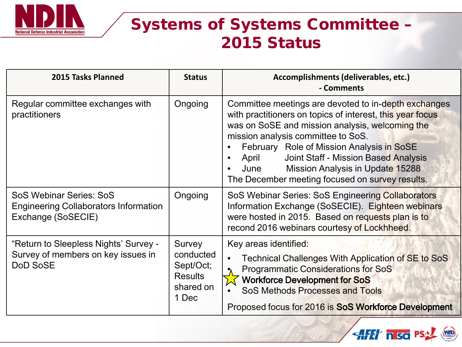

### Systems of Systems Committee – 2015 Status

| 2015 Tasks Planned                                                                             | <b>Status</b>                                                            | Accomplishments (deliverables, etc.)<br>- Comments                                                                                                                                                                                                                                                                                                                                                             |
|------------------------------------------------------------------------------------------------|--------------------------------------------------------------------------|----------------------------------------------------------------------------------------------------------------------------------------------------------------------------------------------------------------------------------------------------------------------------------------------------------------------------------------------------------------------------------------------------------------|
| Regular committee exchanges with<br>practitioners                                              | Ongoing                                                                  | Committee meetings are devoted to in-depth exchanges<br>with practitioners on topics of interest, this year focus<br>was on SoSE and mission analysis, welcoming the<br>mission analysis committee to SoS.<br>February Role of Mission Analysis in SoSE<br><b>Joint Staff - Mission Based Analysis</b><br>April<br>Mission Analysis in Update 15288<br>June<br>The December meeting focused on survey results. |
| SoS Webinar Series: SoS<br><b>Engineering Collaborators Information</b><br>Exchange (SoSECIE)  | Ongoing                                                                  | SoS Webinar Series: SoS Engineering Collaborators<br>Information Exchange (SoSECIE). Eighteen webinars<br>were hosted in 2015. Based on requests plan is to<br>recond 2016 webinars courtesy of Lockhheed.                                                                                                                                                                                                     |
| "Return to Sleepless Nights' Survey -<br>Survey of members on key issues in<br><b>DoD SoSE</b> | Survey<br>conducted<br>Sept/Oct;<br><b>Results</b><br>shared on<br>1 Dec | Key areas identified:<br>Technical Challenges With Application of SE to SoS<br><b>Programmatic Considerations for SoS</b><br><b>Workforce Development for SoS</b><br><b>SoS Methods Processes and Tools</b><br>Proposed focus for 2016 is SoS Workforce Development                                                                                                                                            |

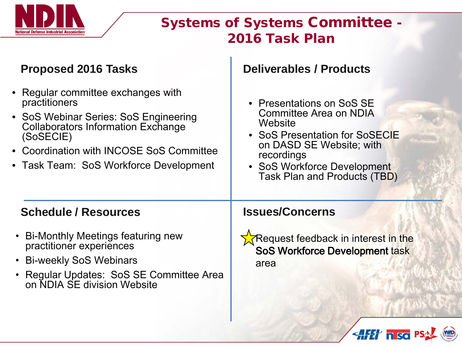

### Systems of Systems Committee - 2016 Task Plan

HH nso F

#### **Proposed 2016 Tasks Bullet Bullet Bullet Bullet Deliverables / Products**

**Schedule / Resources Issues/Concerns** • Regular committee exchanges with practitioners • SoS Webinar Series: SoS Engineering Collaborators Information Exchange (SoSECIE) • Coordination with INCOSE SoS Committee • Task Team: SoS Workforce Development • Bi-Monthly Meetings featuring new practitioner experiences • Bi-weekly SoS Webinars • Regular Updates: SoS SE Committee Area on NDIA SE division Website • Presentations on SoS SE Committee Area on NDIA **Website** • SoS Presentation for SoSECIE on DASD SE Website; with recordings • SoS Workforce Development Task Plan and Products (TBD) Request feedback in interest in the SoS Workforce Development task area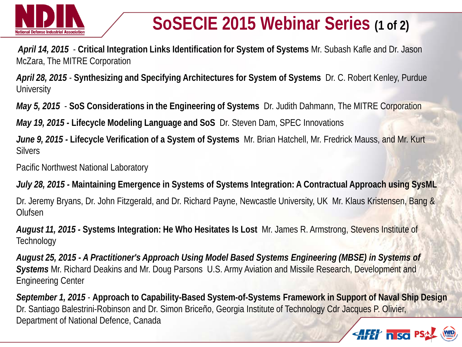

# **SoSECIE 2015 Webinar Series (1 of 2)**

*April 14, 2015* - **Critical Integration Links Identification for System of Systems** Mr. Subash Kafle and Dr. Jason McZara, The MITRE Corporation

*April 28, 2015* - **Synthesizing and Specifying Architectures for System of Systems** Dr. C. Robert Kenley, Purdue **University** 

*May 5, 2015* - **SoS Considerations in the Engineering of Systems** Dr. Judith Dahmann, The MITRE Corporation

*May 19, 2015 -* **Lifecycle Modeling Language and SoS** Dr. Steven Dam, SPEC Innovations

*June 9, 2015 -* **Lifecycle Verification of a System of Systems** Mr. Brian Hatchell, Mr. Fredrick Mauss, and Mr. Kurt **Silvers** 

Pacific Northwest National Laboratory

*July 28, 2015 -* **Maintaining Emergence in Systems of Systems Integration: A Contractual Approach using SysML**

Dr. Jeremy Bryans, Dr. John Fitzgerald, and Dr. Richard Payne, Newcastle University, UK Mr. Klaus Kristensen, Bang & **Olufsen** 

*August 11, 2015 -* **Systems Integration: He Who Hesitates Is Lost** Mr. James R. Armstrong, Stevens Institute of **Technology** 

*August 25, 2015 - A Practitioner's Approach Using Model Based Systems Engineering (MBSE) in Systems of Systems* Mr. Richard Deakins and Mr. Doug Parsons U.S. Army Aviation and Missile Research, Development and Engineering Center

*September 1, 2015* - **Approach to Capability-Based System-of-Systems Framework in Support of Naval Ship Design**  Dr. Santiago Balestrini-Robinson and Dr. Simon Briceño, Georgia Institute of Technology Cdr Jacques P. Olivier, Department of National Defence, Canada